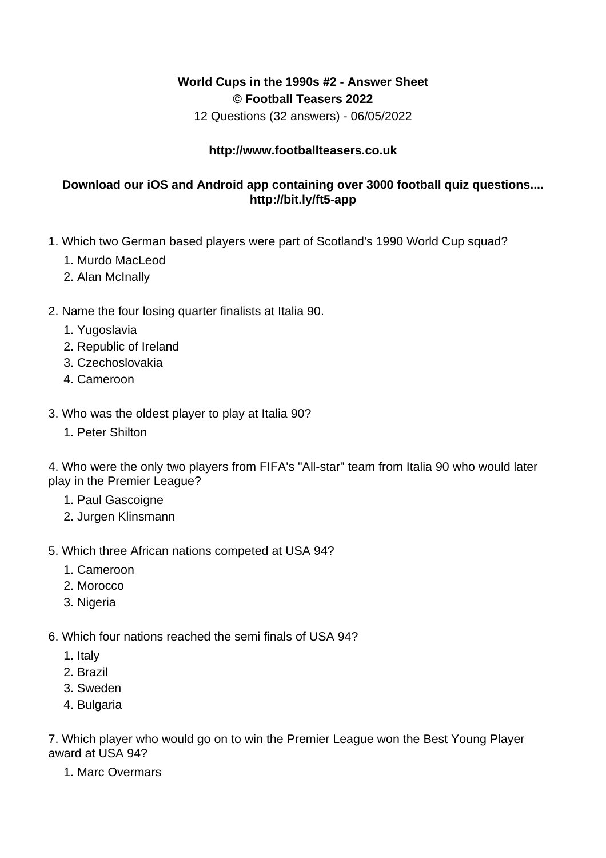## **World Cups in the 1990s #2 - Answer Sheet © Football Teasers 2022**

12 Questions (32 answers) - 06/05/2022

## **http://www.footballteasers.co.uk**

## **Download our iOS and Android app containing over 3000 football quiz questions.... http://bit.ly/ft5-app**

- 1. Which two German based players were part of Scotland's 1990 World Cup squad?
	- 1. Murdo MacLeod
	- 2. Alan McInally

## 2. Name the four losing quarter finalists at Italia 90.

- 1. Yugoslavia
- 2. Republic of Ireland
- 3. Czechoslovakia
- 4. Cameroon
- 3. Who was the oldest player to play at Italia 90?
	- 1. Peter Shilton

4. Who were the only two players from FIFA's "All-star" team from Italia 90 who would later play in the Premier League?

- 1. Paul Gascoigne
- 2. Jurgen Klinsmann
- 5. Which three African nations competed at USA 94?
	- 1. Cameroon
	- 2. Morocco
	- 3. Nigeria
- 6. Which four nations reached the semi finals of USA 94?
	- 1. Italy
	- 2. Brazil
	- 3. Sweden
	- 4. Bulgaria

7. Which player who would go on to win the Premier League won the Best Young Player award at USA 94?

1. Marc Overmars